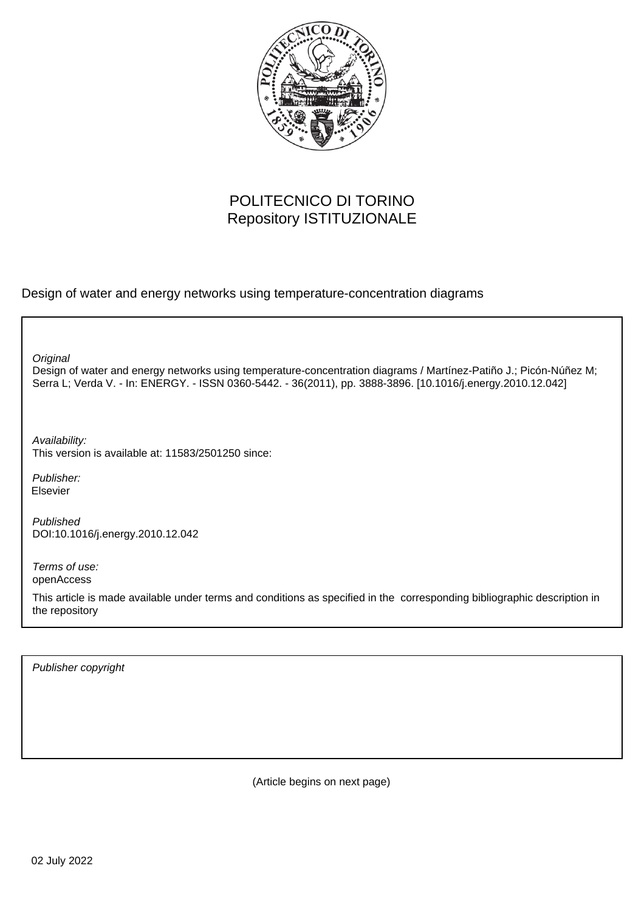

# POLITECNICO DI TORINO Repository ISTITUZIONALE

Design of water and energy networks using temperature-concentration diagrams

**Original** 

Design of water and energy networks using temperature-concentration diagrams / Martínez-Patiño J.; Picón-Núñez M; Serra L; Verda V. - In: ENERGY. - ISSN 0360-5442. - 36(2011), pp. 3888-3896. [10.1016/j.energy.2010.12.042]

Availability: This version is available at: 11583/2501250 since:

Publisher: Elsevier

Published DOI:10.1016/j.energy.2010.12.042

Terms of use: openAccess

This article is made available under terms and conditions as specified in the corresponding bibliographic description in the repository

Publisher copyright

(Article begins on next page)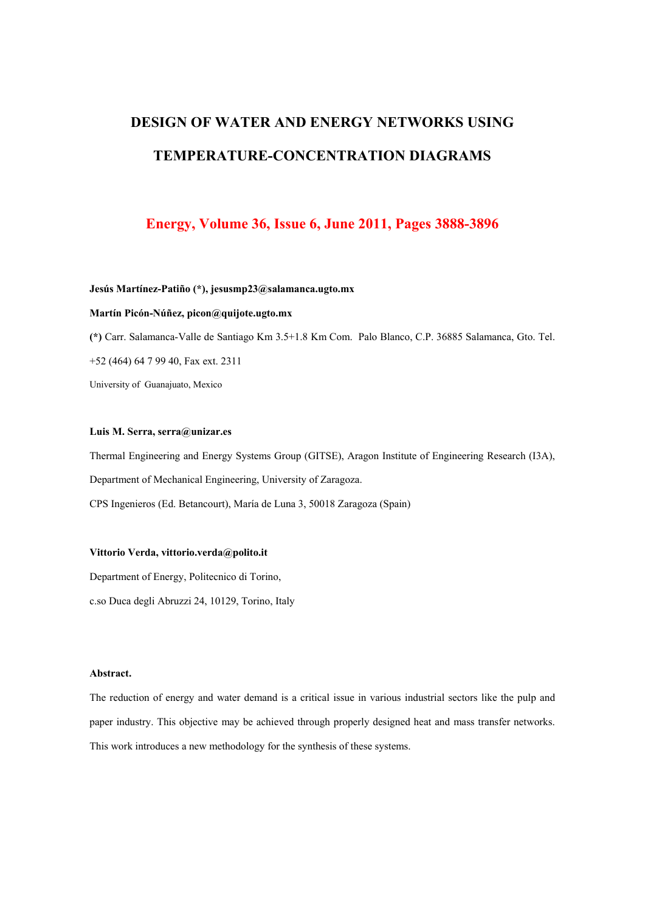# **DESIGN OF WATER AND ENERGY NETWORKS USING TEMPERATURE-CONCENTRATION DIAGRAMS**

## **Energy, Volume 36, Issue 6, June 2011, Pages 3888-3896**

#### **Jesús Martínez-Patiño (\*), jesusmp23@salamanca.ugto.mx**

#### **Martín Picón-Núñez, picon@quijote.ugto.mx**

**(\*)** Carr. Salamanca-Valle de Santiago Km 3.5+1.8 Km Com. Palo Blanco, C.P. 36885 Salamanca, Gto. Tel.

+52 (464) 64 7 99 40, Fax ext. 2311

University of Guanajuato, Mexico

#### **Luis M. Serra, serra@unizar.es**

Thermal Engineering and Energy Systems Group (GITSE), Aragon Institute of Engineering Research (I3A), Department of Mechanical Engineering, University of Zaragoza. CPS Ingenieros (Ed. Betancourt), María de Luna 3, 50018 Zaragoza (Spain)

#### **Vittorio Verda, vittorio.verda@polito.it**

Department of Energy, Politecnico di Torino, c.so Duca degli Abruzzi 24, 10129, Torino, Italy

#### **Abstract.**

The reduction of energy and water demand is a critical issue in various industrial sectors like the pulp and paper industry. This objective may be achieved through properly designed heat and mass transfer networks. This work introduces a new methodology for the synthesis of these systems.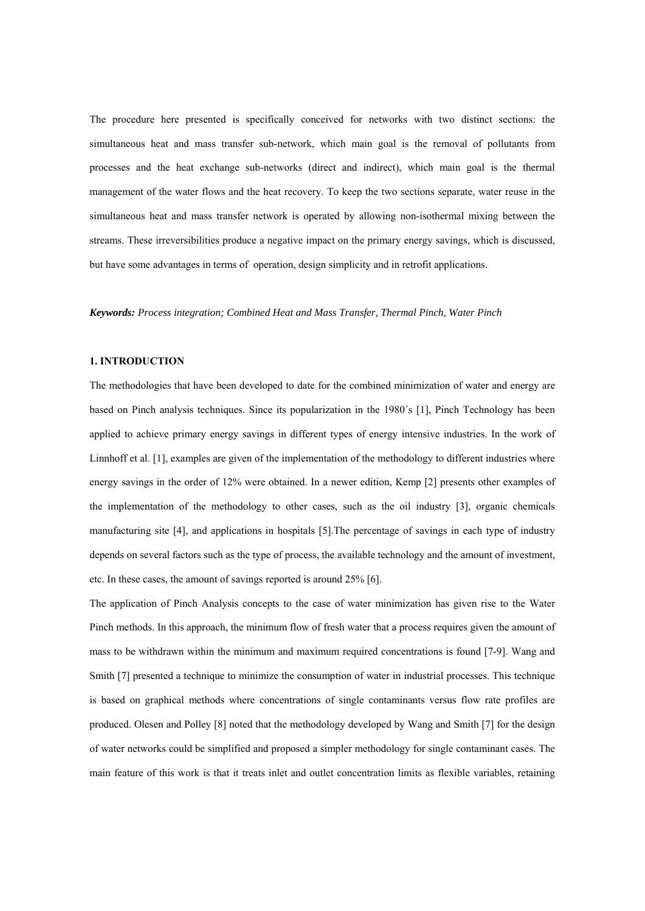The procedure here presented is specifically conceived for networks with two distinct sections: the simultaneous heat and mass transfer sub-network, which main goal is the removal of pollutants from processes and the heat exchange sub-networks (direct and indirect), which main goal is the thermal management of the water flows and the heat recovery. To keep the two sections separate, water reuse in the simultaneous heat and mass transfer network is operated by allowing non-isothermal mixing between the streams. These irreversibilities produce a negative impact on the primary energy savings, which is discussed, but have some advantages in terms of operation, design simplicity and in retrofit applications.

#### *Keywords: Process integration; Combined Heat and Mass Transfer, Thermal Pinch, Water Pinch*

#### **1. INTRODUCTION**

The methodologies that have been developed to date for the combined minimization of water and energy are based on Pinch analysis techniques. Since its popularization in the 1980´s [1], Pinch Technology has been applied to achieve primary energy savings in different types of energy intensive industries. In the work of Linnhoff et al. [1], examples are given of the implementation of the methodology to different industries where energy savings in the order of 12% were obtained. In a newer edition, Kemp [2] presents other examples of the implementation of the methodology to other cases, such as the oil industry [3], organic chemicals manufacturing site [4], and applications in hospitals [5].The percentage of savings in each type of industry depends on several factors such as the type of process, the available technology and the amount of investment, etc. In these cases, the amount of savings reported is around 25% [6].

The application of Pinch Analysis concepts to the case of water minimization has given rise to the Water Pinch methods. In this approach, the minimum flow of fresh water that a process requires given the amount of mass to be withdrawn within the minimum and maximum required concentrations is found [7-9]. Wang and Smith [7] presented a technique to minimize the consumption of water in industrial processes. This technique is based on graphical methods where concentrations of single contaminants versus flow rate profiles are produced. Olesen and Polley [8] noted that the methodology developed by Wang and Smith [7] for the design of water networks could be simplified and proposed a simpler methodology for single contaminant cases. The main feature of this work is that it treats inlet and outlet concentration limits as flexible variables, retaining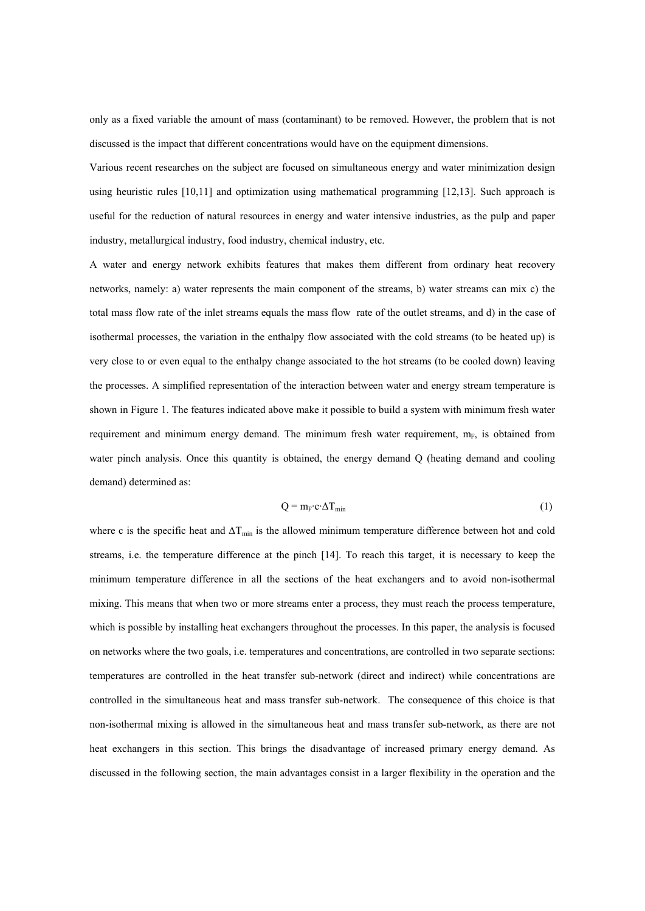only as a fixed variable the amount of mass (contaminant) to be removed. However, the problem that is not discussed is the impact that different concentrations would have on the equipment dimensions.

Various recent researches on the subject are focused on simultaneous energy and water minimization design using heuristic rules [10,11] and optimization using mathematical programming [12,13]. Such approach is useful for the reduction of natural resources in energy and water intensive industries, as the pulp and paper industry, metallurgical industry, food industry, chemical industry, etc.

A water and energy network exhibits features that makes them different from ordinary heat recovery networks, namely: a) water represents the main component of the streams, b) water streams can mix c) the total mass flow rate of the inlet streams equals the mass flow rate of the outlet streams, and d) in the case of isothermal processes, the variation in the enthalpy flow associated with the cold streams (to be heated up) is very close to or even equal to the enthalpy change associated to the hot streams (to be cooled down) leaving the processes. A simplified representation of the interaction between water and energy stream temperature is shown in Figure 1. The features indicated above make it possible to build a system with minimum fresh water requirement and minimum energy demand. The minimum fresh water requirement,  $m_F$ , is obtained from water pinch analysis. Once this quantity is obtained, the energy demand Q (heating demand and cooling demand) determined as:

$$
Q = m_{F} c \Delta T_{min}
$$
 (1)

where c is the specific heat and  $\Delta T_{\text{min}}$  is the allowed minimum temperature difference between hot and cold streams, i.e. the temperature difference at the pinch [14]. To reach this target, it is necessary to keep the minimum temperature difference in all the sections of the heat exchangers and to avoid non-isothermal mixing. This means that when two or more streams enter a process, they must reach the process temperature, which is possible by installing heat exchangers throughout the processes. In this paper, the analysis is focused on networks where the two goals, i.e. temperatures and concentrations, are controlled in two separate sections: temperatures are controlled in the heat transfer sub-network (direct and indirect) while concentrations are controlled in the simultaneous heat and mass transfer sub-network. The consequence of this choice is that non-isothermal mixing is allowed in the simultaneous heat and mass transfer sub-network, as there are not heat exchangers in this section. This brings the disadvantage of increased primary energy demand. As discussed in the following section, the main advantages consist in a larger flexibility in the operation and the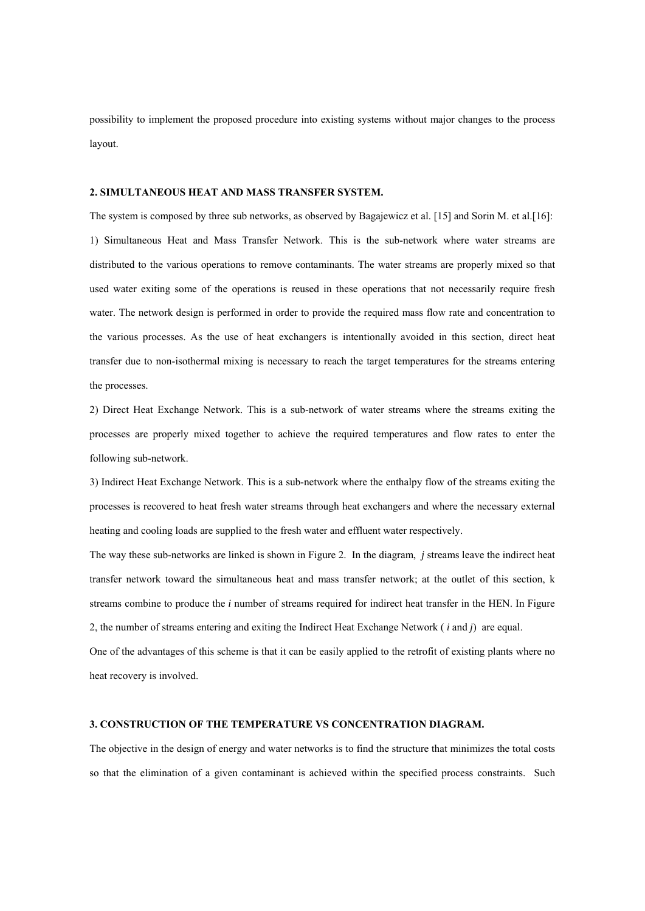possibility to implement the proposed procedure into existing systems without major changes to the process layout.

#### **2. SIMULTANEOUS HEAT AND MASS TRANSFER SYSTEM.**

The system is composed by three sub networks, as observed by Bagajewicz et al. [15] and Sorin M. et al.[16]: 1) Simultaneous Heat and Mass Transfer Network. This is the sub-network where water streams are distributed to the various operations to remove contaminants. The water streams are properly mixed so that used water exiting some of the operations is reused in these operations that not necessarily require fresh water. The network design is performed in order to provide the required mass flow rate and concentration to the various processes. As the use of heat exchangers is intentionally avoided in this section, direct heat transfer due to non-isothermal mixing is necessary to reach the target temperatures for the streams entering the processes.

2) Direct Heat Exchange Network. This is a sub-network of water streams where the streams exiting the processes are properly mixed together to achieve the required temperatures and flow rates to enter the following sub-network.

3) Indirect Heat Exchange Network. This is a sub-network where the enthalpy flow of the streams exiting the processes is recovered to heat fresh water streams through heat exchangers and where the necessary external heating and cooling loads are supplied to the fresh water and effluent water respectively.

The way these sub-networks are linked is shown in Figure 2. In the diagram, *j* streams leave the indirect heat transfer network toward the simultaneous heat and mass transfer network; at the outlet of this section, k streams combine to produce the *i* number of streams required for indirect heat transfer in the HEN. In Figure 2, the number of streams entering and exiting the Indirect Heat Exchange Network ( *i* and *j*) are equal.

One of the advantages of this scheme is that it can be easily applied to the retrofit of existing plants where no heat recovery is involved.

#### **3. CONSTRUCTION OF THE TEMPERATURE VS CONCENTRATION DIAGRAM.**

The objective in the design of energy and water networks is to find the structure that minimizes the total costs so that the elimination of a given contaminant is achieved within the specified process constraints. Such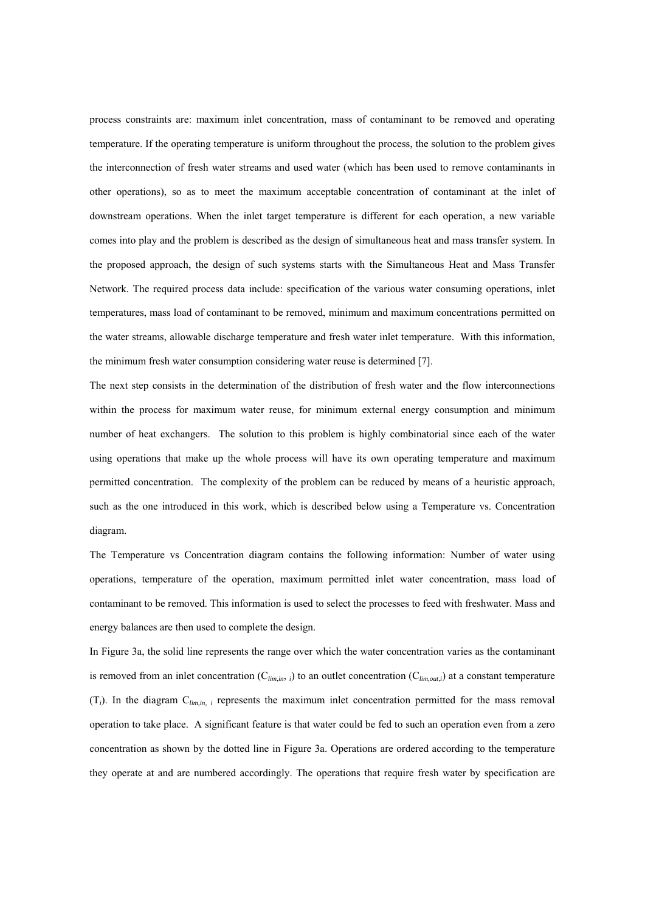process constraints are: maximum inlet concentration, mass of contaminant to be removed and operating temperature. If the operating temperature is uniform throughout the process, the solution to the problem gives the interconnection of fresh water streams and used water (which has been used to remove contaminants in other operations), so as to meet the maximum acceptable concentration of contaminant at the inlet of downstream operations. When the inlet target temperature is different for each operation, a new variable comes into play and the problem is described as the design of simultaneous heat and mass transfer system. In the proposed approach, the design of such systems starts with the Simultaneous Heat and Mass Transfer Network. The required process data include: specification of the various water consuming operations, inlet temperatures, mass load of contaminant to be removed, minimum and maximum concentrations permitted on the water streams, allowable discharge temperature and fresh water inlet temperature. With this information, the minimum fresh water consumption considering water reuse is determined [7].

The next step consists in the determination of the distribution of fresh water and the flow interconnections within the process for maximum water reuse, for minimum external energy consumption and minimum number of heat exchangers. The solution to this problem is highly combinatorial since each of the water using operations that make up the whole process will have its own operating temperature and maximum permitted concentration. The complexity of the problem can be reduced by means of a heuristic approach, such as the one introduced in this work, which is described below using a Temperature vs. Concentration diagram.

The Temperature vs Concentration diagram contains the following information: Number of water using operations, temperature of the operation, maximum permitted inlet water concentration, mass load of contaminant to be removed. This information is used to select the processes to feed with freshwater. Mass and energy balances are then used to complete the design.

In Figure 3a, the solid line represents the range over which the water concentration varies as the contaminant is removed from an inlet concentration  $(C_{lim,in}$ , *i*) to an outlet concentration  $(C_{lim,out,i})$  at a constant temperature (T*i*). In the diagram C*lim,in, i* represents the maximum inlet concentration permitted for the mass removal operation to take place. A significant feature is that water could be fed to such an operation even from a zero concentration as shown by the dotted line in Figure 3a. Operations are ordered according to the temperature they operate at and are numbered accordingly. The operations that require fresh water by specification are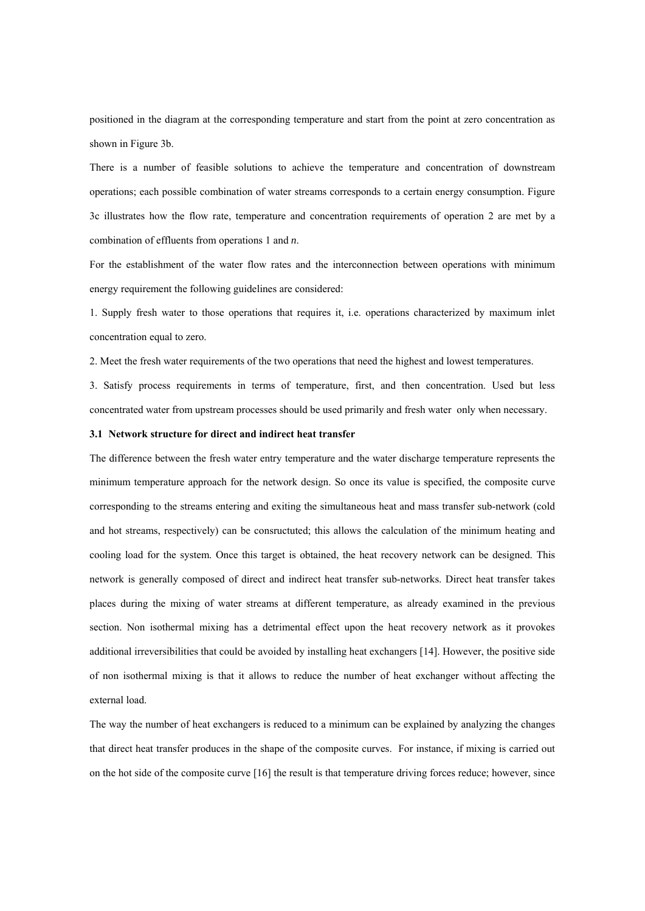positioned in the diagram at the corresponding temperature and start from the point at zero concentration as shown in Figure 3b.

There is a number of feasible solutions to achieve the temperature and concentration of downstream operations; each possible combination of water streams corresponds to a certain energy consumption. Figure 3c illustrates how the flow rate, temperature and concentration requirements of operation 2 are met by a combination of effluents from operations 1 and *n*.

For the establishment of the water flow rates and the interconnection between operations with minimum energy requirement the following guidelines are considered:

1. Supply fresh water to those operations that requires it, i.e. operations characterized by maximum inlet concentration equal to zero.

2. Meet the fresh water requirements of the two operations that need the highest and lowest temperatures.

3. Satisfy process requirements in terms of temperature, first, and then concentration. Used but less concentrated water from upstream processes should be used primarily and fresh water only when necessary.

#### **3.1 Network structure for direct and indirect heat transfer**

The difference between the fresh water entry temperature and the water discharge temperature represents the minimum temperature approach for the network design. So once its value is specified, the composite curve corresponding to the streams entering and exiting the simultaneous heat and mass transfer sub-network (cold and hot streams, respectively) can be consructuted; this allows the calculation of the minimum heating and cooling load for the system. Once this target is obtained, the heat recovery network can be designed. This network is generally composed of direct and indirect heat transfer sub-networks. Direct heat transfer takes places during the mixing of water streams at different temperature, as already examined in the previous section. Non isothermal mixing has a detrimental effect upon the heat recovery network as it provokes additional irreversibilities that could be avoided by installing heat exchangers [14]. However, the positive side of non isothermal mixing is that it allows to reduce the number of heat exchanger without affecting the external load.

The way the number of heat exchangers is reduced to a minimum can be explained by analyzing the changes that direct heat transfer produces in the shape of the composite curves. For instance, if mixing is carried out on the hot side of the composite curve [16] the result is that temperature driving forces reduce; however, since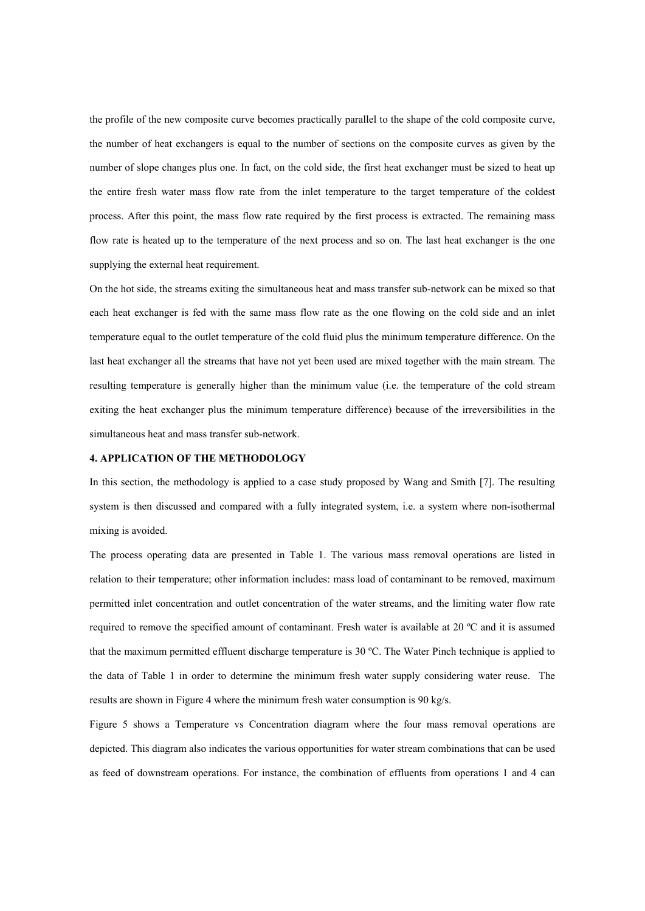the profile of the new composite curve becomes practically parallel to the shape of the cold composite curve, the number of heat exchangers is equal to the number of sections on the composite curves as given by the number of slope changes plus one. In fact, on the cold side, the first heat exchanger must be sized to heat up the entire fresh water mass flow rate from the inlet temperature to the target temperature of the coldest process. After this point, the mass flow rate required by the first process is extracted. The remaining mass flow rate is heated up to the temperature of the next process and so on. The last heat exchanger is the one supplying the external heat requirement.

On the hot side, the streams exiting the simultaneous heat and mass transfer sub-network can be mixed so that each heat exchanger is fed with the same mass flow rate as the one flowing on the cold side and an inlet temperature equal to the outlet temperature of the cold fluid plus the minimum temperature difference. On the last heat exchanger all the streams that have not yet been used are mixed together with the main stream. The resulting temperature is generally higher than the minimum value (i.e. the temperature of the cold stream exiting the heat exchanger plus the minimum temperature difference) because of the irreversibilities in the simultaneous heat and mass transfer sub-network.

#### **4. APPLICATION OF THE METHODOLOGY**

In this section, the methodology is applied to a case study proposed by Wang and Smith [7]. The resulting system is then discussed and compared with a fully integrated system, i.e. a system where non-isothermal mixing is avoided.

The process operating data are presented in Table 1. The various mass removal operations are listed in relation to their temperature; other information includes: mass load of contaminant to be removed, maximum permitted inlet concentration and outlet concentration of the water streams, and the limiting water flow rate required to remove the specified amount of contaminant. Fresh water is available at 20 ºC and it is assumed that the maximum permitted effluent discharge temperature is 30 ºC. The Water Pinch technique is applied to the data of Table 1 in order to determine the minimum fresh water supply considering water reuse. The results are shown in Figure 4 where the minimum fresh water consumption is 90 kg/s.

Figure 5 shows a Temperature vs Concentration diagram where the four mass removal operations are depicted. This diagram also indicates the various opportunities for water stream combinations that can be used as feed of downstream operations. For instance, the combination of effluents from operations 1 and 4 can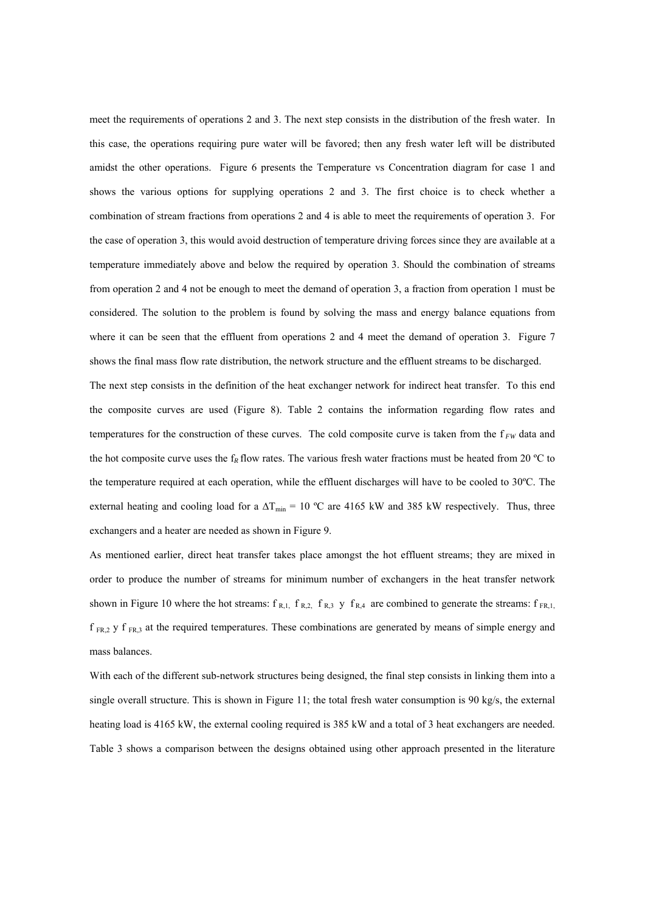meet the requirements of operations 2 and 3. The next step consists in the distribution of the fresh water. In this case, the operations requiring pure water will be favored; then any fresh water left will be distributed amidst the other operations. Figure 6 presents the Temperature vs Concentration diagram for case 1 and shows the various options for supplying operations 2 and 3. The first choice is to check whether a combination of stream fractions from operations 2 and 4 is able to meet the requirements of operation 3. For the case of operation 3, this would avoid destruction of temperature driving forces since they are available at a temperature immediately above and below the required by operation 3. Should the combination of streams from operation 2 and 4 not be enough to meet the demand of operation 3, a fraction from operation 1 must be considered. The solution to the problem is found by solving the mass and energy balance equations from where it can be seen that the effluent from operations 2 and 4 meet the demand of operation 3. Figure 7 shows the final mass flow rate distribution, the network structure and the effluent streams to be discharged.

The next step consists in the definition of the heat exchanger network for indirect heat transfer. To this end the composite curves are used (Figure 8). Table 2 contains the information regarding flow rates and temperatures for the construction of these curves. The cold composite curve is taken from the  $f_{FW}$  data and the hot composite curve uses the  $f_R$  flow rates. The various fresh water fractions must be heated from 20  $^{\circ}$ C to the temperature required at each operation, while the effluent discharges will have to be cooled to 30ºC. The external heating and cooling load for a  $\Delta T_{\text{min}}$  = 10 °C are 4165 kW and 385 kW respectively. Thus, three exchangers and a heater are needed as shown in Figure 9.

As mentioned earlier, direct heat transfer takes place amongst the hot effluent streams; they are mixed in order to produce the number of streams for minimum number of exchangers in the heat transfer network shown in Figure 10 where the hot streams:  $f_{R,1}$ ,  $f_{R,2}$ ,  $f_{R,3}$  y  $f_{R,4}$  are combined to generate the streams:  $f_{FR,1}$ ,  $f_{FR,2}$  y  $f_{FR,3}$  at the required temperatures. These combinations are generated by means of simple energy and mass balances.

With each of the different sub-network structures being designed, the final step consists in linking them into a single overall structure. This is shown in Figure 11; the total fresh water consumption is 90 kg/s, the external heating load is 4165 kW, the external cooling required is 385 kW and a total of 3 heat exchangers are needed. Table 3 shows a comparison between the designs obtained using other approach presented in the literature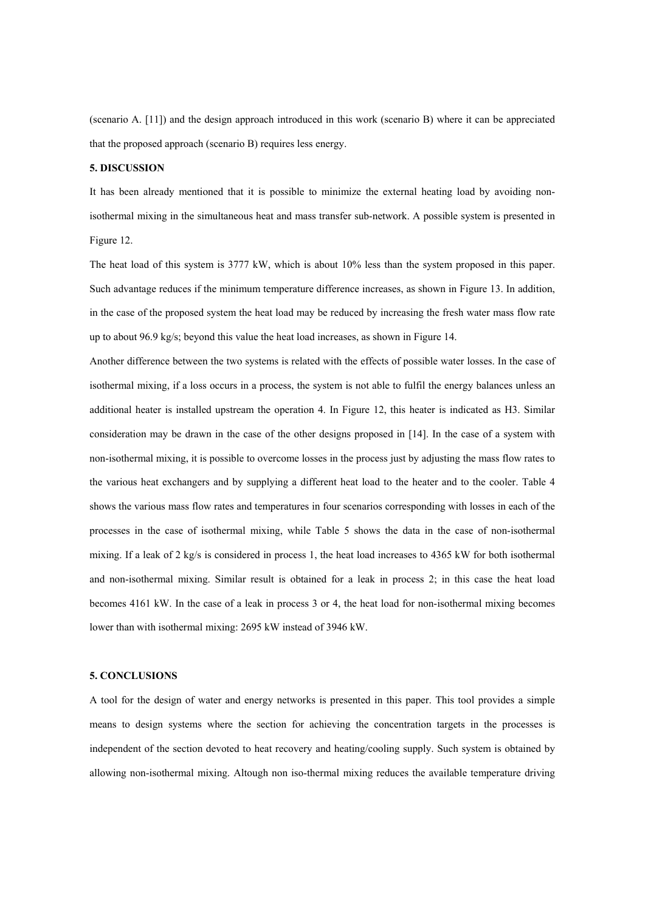(scenario A. [11]) and the design approach introduced in this work (scenario B) where it can be appreciated that the proposed approach (scenario B) requires less energy.

#### **5. DISCUSSION**

It has been already mentioned that it is possible to minimize the external heating load by avoiding nonisothermal mixing in the simultaneous heat and mass transfer sub-network. A possible system is presented in Figure 12.

The heat load of this system is 3777 kW, which is about 10% less than the system proposed in this paper. Such advantage reduces if the minimum temperature difference increases, as shown in Figure 13. In addition, in the case of the proposed system the heat load may be reduced by increasing the fresh water mass flow rate up to about 96.9 kg/s; beyond this value the heat load increases, as shown in Figure 14.

Another difference between the two systems is related with the effects of possible water losses. In the case of isothermal mixing, if a loss occurs in a process, the system is not able to fulfil the energy balances unless an additional heater is installed upstream the operation 4. In Figure 12, this heater is indicated as H3. Similar consideration may be drawn in the case of the other designs proposed in [14]. In the case of a system with non-isothermal mixing, it is possible to overcome losses in the process just by adjusting the mass flow rates to the various heat exchangers and by supplying a different heat load to the heater and to the cooler. Table 4 shows the various mass flow rates and temperatures in four scenarios corresponding with losses in each of the processes in the case of isothermal mixing, while Table 5 shows the data in the case of non-isothermal mixing. If a leak of 2 kg/s is considered in process 1, the heat load increases to 4365 kW for both isothermal and non-isothermal mixing. Similar result is obtained for a leak in process 2; in this case the heat load becomes 4161 kW. In the case of a leak in process 3 or 4, the heat load for non-isothermal mixing becomes lower than with isothermal mixing: 2695 kW instead of 3946 kW.

#### **5. CONCLUSIONS**

A tool for the design of water and energy networks is presented in this paper. This tool provides a simple means to design systems where the section for achieving the concentration targets in the processes is independent of the section devoted to heat recovery and heating/cooling supply. Such system is obtained by allowing non-isothermal mixing. Altough non iso-thermal mixing reduces the available temperature driving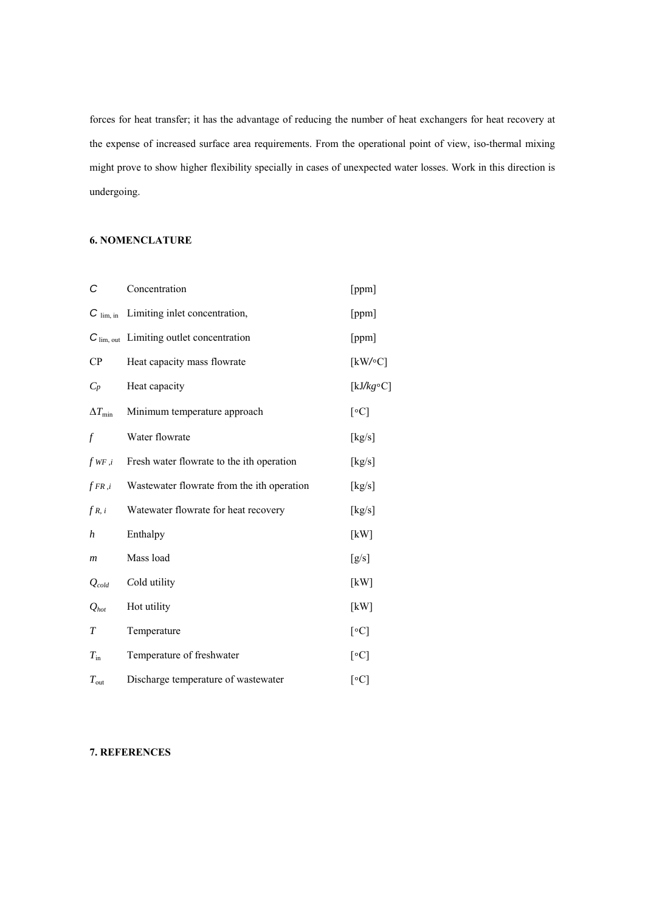forces for heat transfer; it has the advantage of reducing the number of heat exchangers for heat recovery at the expense of increased surface area requirements. From the operational point of view, iso-thermal mixing might prove to show higher flexibility specially in cases of unexpected water losses. Work in this direction is undergoing.

#### **6. NOMENCLATURE**

| С                     | Concentration                              | [ppm]                    |
|-----------------------|--------------------------------------------|--------------------------|
| $C$ lim, in           | Limiting inlet concentration,              | [ppm]                    |
| $C_{\text{lim, out}}$ | Limiting outlet concentration              | [ppm]                    |
| CP                    | Heat capacity mass flowrate                | [kW/c]                   |
| $C_p$                 | Heat capacity                              | [ $kJ/kg \circ C$ ]      |
| $\Delta T_{\rm min}$  | Minimum temperature approach               | [°C]                     |
| f                     | Water flowrate                             | [kg/s]                   |
| $f_{WF,i}$            | Fresh water flowrate to the ith operation  | [kg/s]                   |
| $fFR$ , $i$           | Wastewater flowrate from the ith operation | [kg/s]                   |
| fR, i                 | Watewater flowrate for heat recovery       | [kg/s]                   |
| h                     | Enthalpy                                   | [kW]                     |
| $\boldsymbol{m}$      | Mass load                                  | [g/s]                    |
| $Q_{cold}$            | Cold utility                               | [kW]                     |
| $Q_{hot}$             | Hot utility                                | [kW]                     |
| $\overline{T}$        | Temperature                                | $\lceil \circ C \rceil$  |
| $T_{\rm in}$          | Temperature of freshwater                  | [°C]                     |
| $T_{\rm out}$         | Discharge temperature of wastewater        | $[\,^{\circ}\mathrm{C}]$ |

### **7. REFERENCES**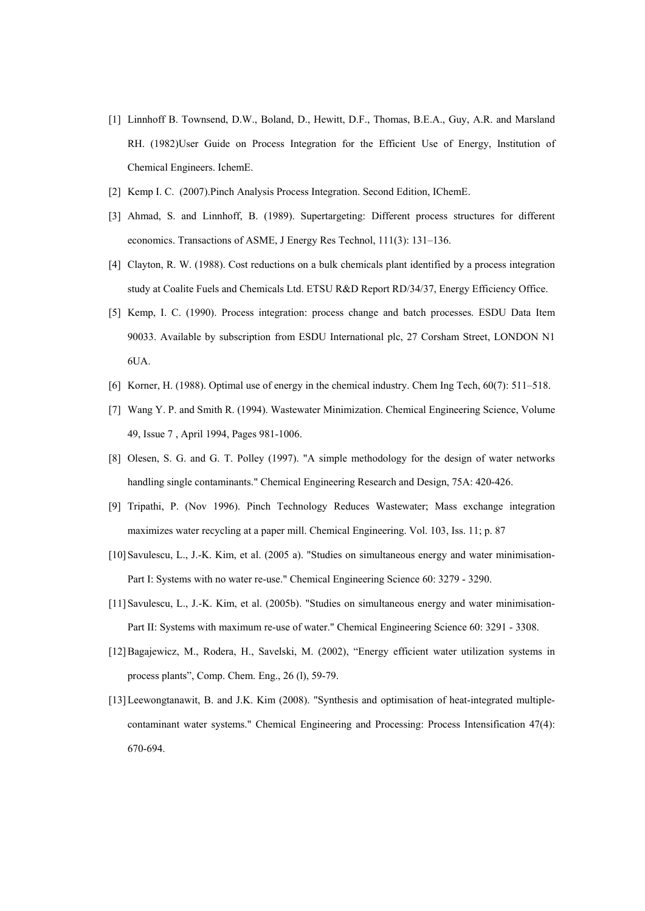- [1] Linnhoff B. Townsend, D.W., Boland, D., Hewitt, D.F., Thomas, B.E.A., Guy, A.R. and Marsland RH. (1982)User Guide on Process Integration for the Efficient Use of Energy, Institution of Chemical Engineers. IchemE.
- [2] Kemp I. C. (2007).Pinch Analysis Process Integration. Second Edition, IChemE.
- [3] Ahmad, S. and Linnhoff, B. (1989). Supertargeting: Different process structures for different economics. Transactions of ASME, J Energy Res Technol, 111(3): 131–136.
- [4] Clayton, R. W. (1988). Cost reductions on a bulk chemicals plant identified by a process integration study at Coalite Fuels and Chemicals Ltd. ETSU R&D Report RD/34/37, Energy Efficiency Office.
- [5] Kemp, I. C. (1990). Process integration: process change and batch processes. ESDU Data Item 90033. Available by subscription from ESDU International plc, 27 Corsham Street, LONDON N1 6UA.
- [6] Korner, H. (1988). Optimal use of energy in the chemical industry. Chem Ing Tech, 60(7): 511–518.
- [7] Wang Y. P. and Smith R. (1994). Wastewater Minimization. Chemical Engineering Science, Volume 49, Issue 7 , April 1994, Pages 981-1006.
- [8] Olesen, S. G. and G. T. Polley (1997). "A simple methodology for the design of water networks handling single contaminants." Chemical Engineering Research and Design, 75A: 420-426.
- [9] Tripathi, P. (Nov 1996). Pinch Technology Reduces Wastewater; Mass exchange integration maximizes water recycling at a paper mill. Chemical Engineering. Vol. 103, Iss. 11; p. 87
- [10]Savulescu, L., J.-K. Kim, et al. (2005 a). "Studies on simultaneous energy and water minimisation-Part I: Systems with no water re-use." Chemical Engineering Science 60: 3279 - 3290.
- [11]Savulescu, L., J.-K. Kim, et al. (2005b). "Studies on simultaneous energy and water minimisation-Part II: Systems with maximum re-use of water." Chemical Engineering Science 60: 3291 - 3308.
- [12]Bagajewicz, M., Rodera, H., Savelski, M. (2002), "Energy efficient water utilization systems in process plants", Comp. Chem. Eng., 26 (l), 59-79.
- [13]Leewongtanawit, B. and J.K. Kim (2008). "Synthesis and optimisation of heat-integrated multiplecontaminant water systems." Chemical Engineering and Processing: Process Intensification 47(4): 670-694.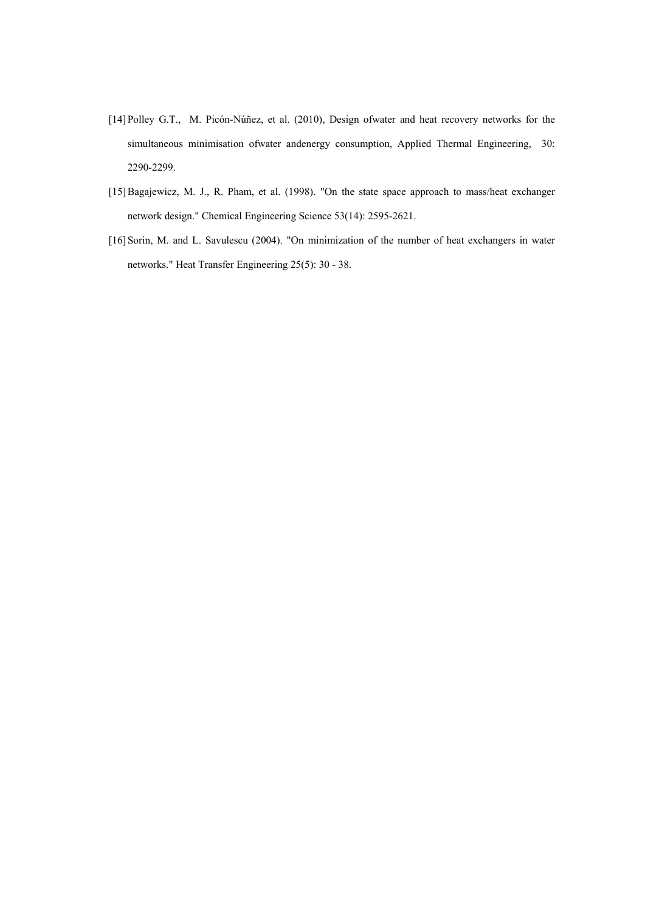- [14]Polley G.T., M. Picón-Núñez, et al. (2010), Design ofwater and heat recovery networks for the simultaneous minimisation ofwater andenergy consumption, Applied Thermal Engineering, 30: 2290-2299.
- [15]Bagajewicz, M. J., R. Pham, et al. (1998). "On the state space approach to mass/heat exchanger network design." Chemical Engineering Science 53(14): 2595-2621.
- [16] Sorin, M. and L. Savulescu (2004). "On minimization of the number of heat exchangers in water networks." Heat Transfer Engineering 25(5): 30 - 38.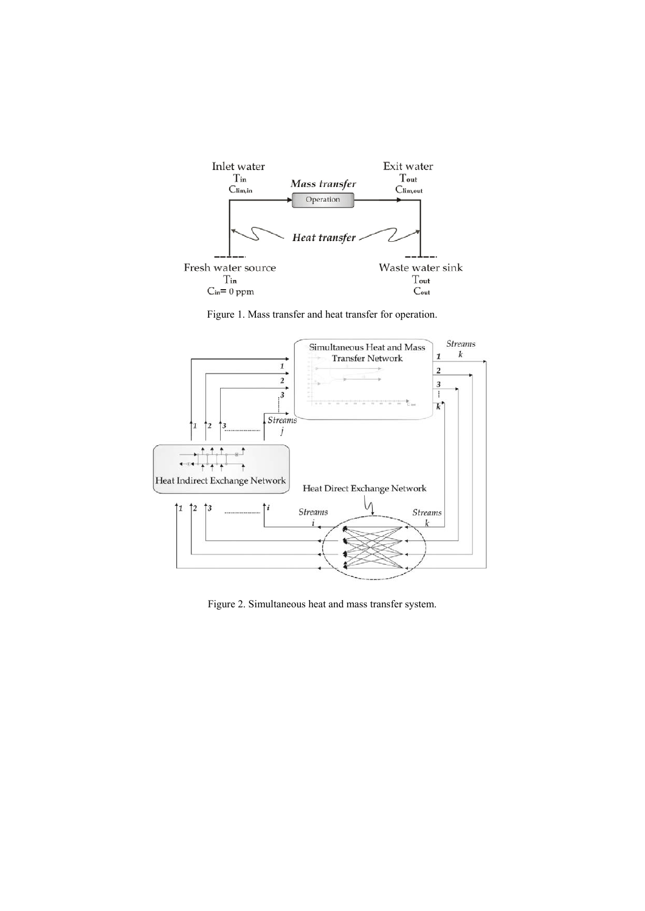

Figure 1. Mass transfer and heat transfer for operation.



Figure 2. Simultaneous heat and mass transfer system.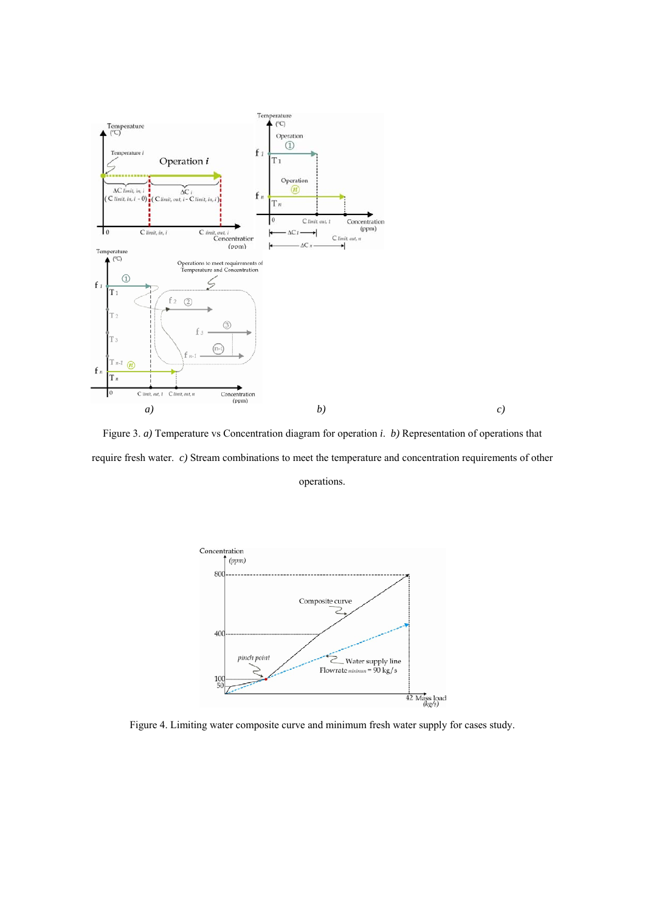

Figure 3. *a)* Temperature vs Concentration diagram for operation *i*. *b)* Representation of operations that require fresh water. *c)* Stream combinations to meet the temperature and concentration requirements of other operations.



Figure 4. Limiting water composite curve and minimum fresh water supply for cases study.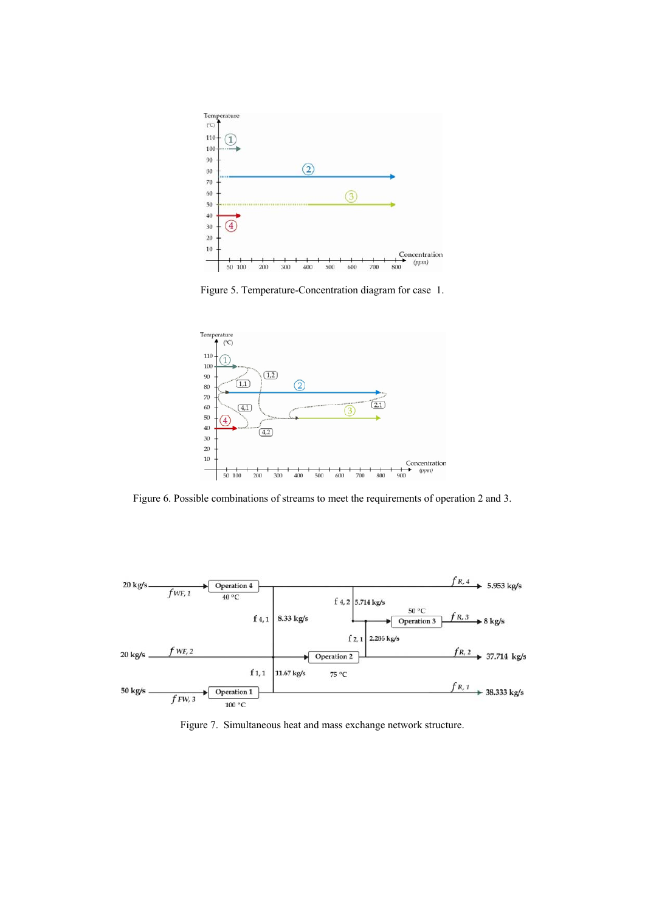

Figure 5. Temperature-Concentration diagram for case 1.



Figure 6. Possible combinations of streams to meet the requirements of operation 2 and 3.



Figure 7. Simultaneous heat and mass exchange network structure.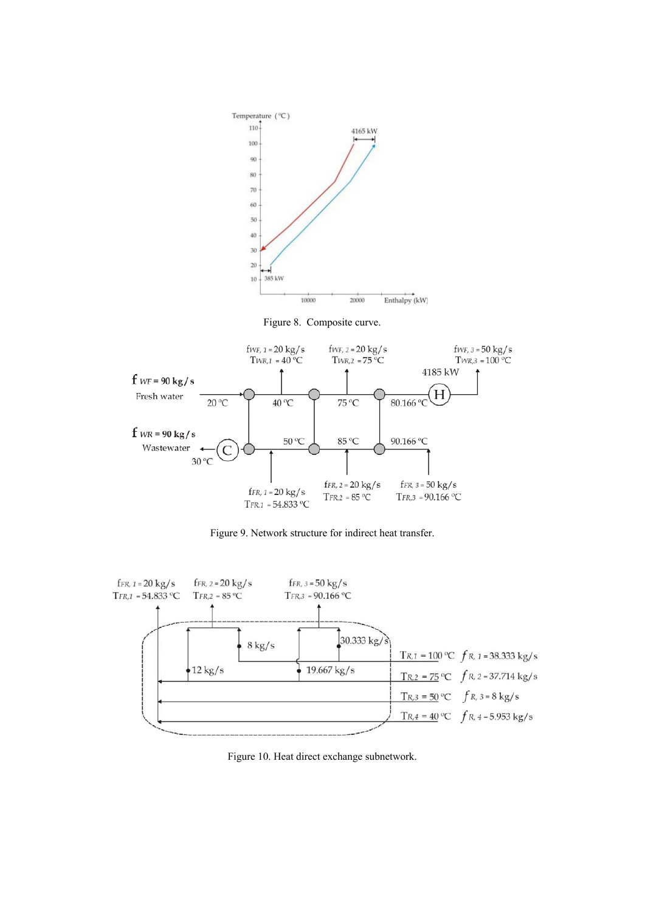

Figure 9. Network structure for indirect heat transfer.



Figure 10. Heat direct exchange subnetwork.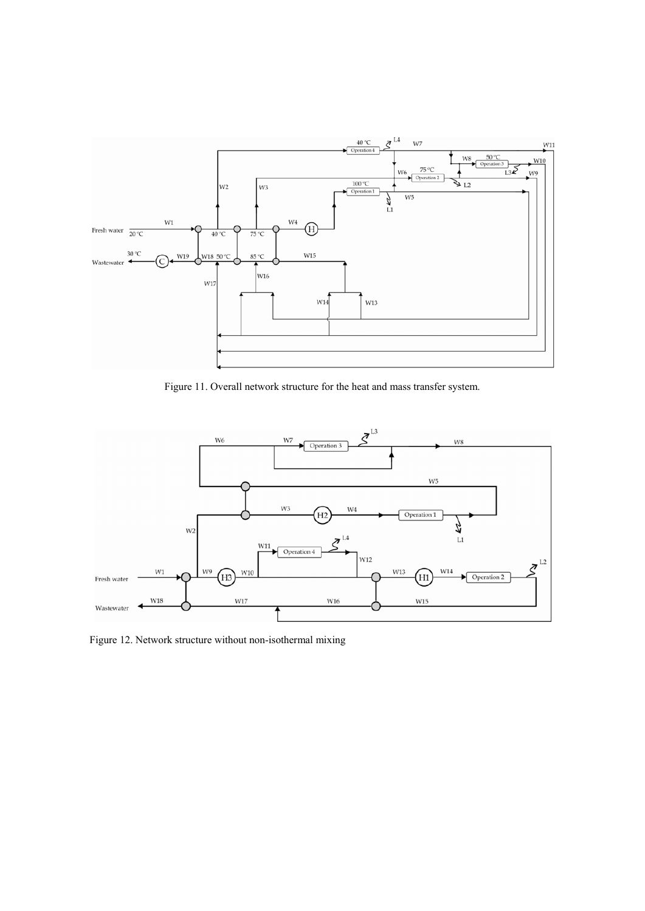

Figure 11. Overall network structure for the heat and mass transfer system.



Figure 12. Network structure without non-isothermal mixing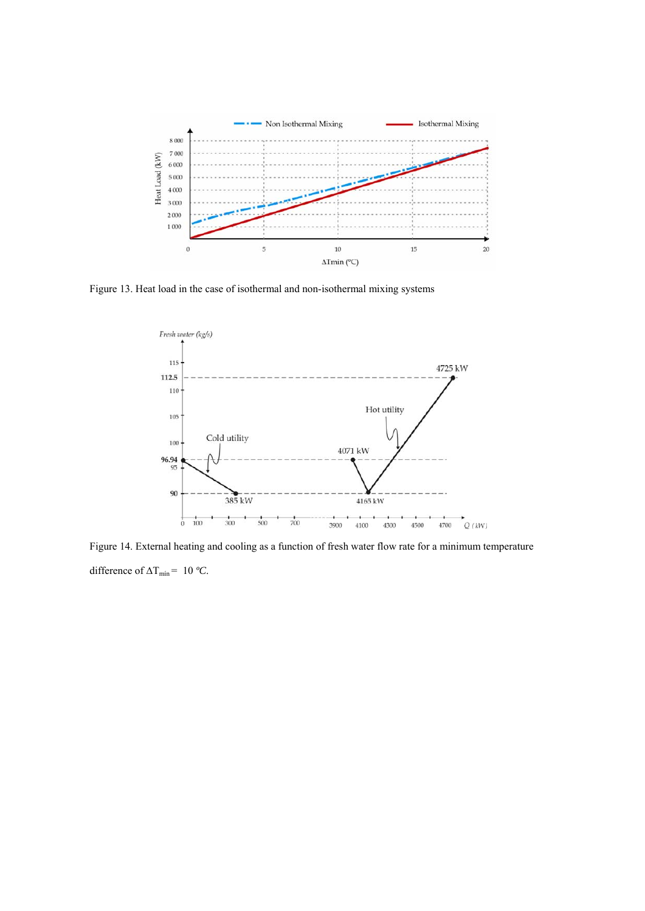

Figure 13. Heat load in the case of isothermal and non-isothermal mixing systems



Figure 14. External heating and cooling as a function of fresh water flow rate for a minimum temperature difference of  $\Delta T_{\text{min}}$  = 10 °C.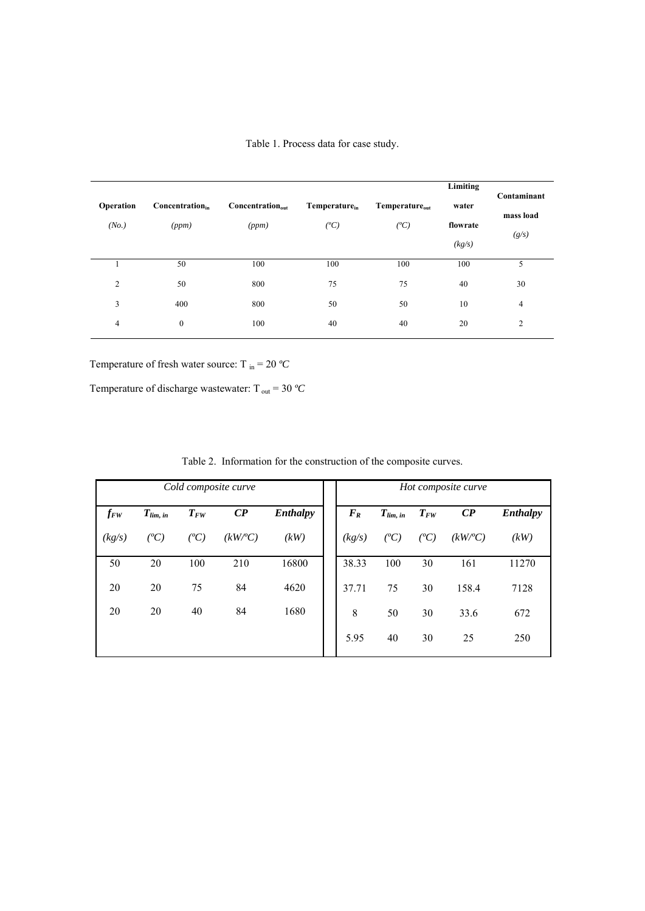| 50<br>100<br>100<br>100<br>100<br>$\overline{c}$<br>50<br>75<br>800<br>75<br>40<br>3<br>400<br>800<br>50<br>50<br>10 | Operation<br>(No.) | Concentration <sub>in</sub><br>(ppm) | $Concentration_{out}$<br>(ppm) | Temperature <sub>in</sub><br>$(^{o}C)$ | Temperature <sub>out</sub><br>$(^oC)$ | Limiting<br>water<br>flowrate<br>(kg/s) | Contaminant<br>mass load<br>(g/s) |
|----------------------------------------------------------------------------------------------------------------------|--------------------|--------------------------------------|--------------------------------|----------------------------------------|---------------------------------------|-----------------------------------------|-----------------------------------|
|                                                                                                                      |                    |                                      |                                |                                        |                                       |                                         | 5                                 |
|                                                                                                                      |                    |                                      |                                |                                        |                                       |                                         | 30                                |
|                                                                                                                      |                    |                                      |                                |                                        |                                       |                                         | 4                                 |
|                                                                                                                      | 4                  | $\boldsymbol{0}$                     | 100                            | 40                                     | 40                                    | 20                                      | $\overline{2}$                    |

Table 1. Process data for case study.

Temperature of fresh water source: T  $_{\text{in}} = 20 \degree C$ 

Temperature of discharge wastewater:  $T_{\text{out}} = 30 \text{ }^{\circ}C$ 

| Cold composite curve |               |          |                         |                 |  | Hot composite curve |               |          |                         |          |  |
|----------------------|---------------|----------|-------------------------|-----------------|--|---------------------|---------------|----------|-------------------------|----------|--|
| $f_{FW}$             | $T_{lim, in}$ | $T_{FW}$ | $\mathbb{C}P$           | <b>Enthalpy</b> |  | $F_R$               | $T_{lim, in}$ | $T_{FW}$ | $\mathbb{C}P$           | Enthalpy |  |
| (kg/s)               | $(^oC)$       | $(^oC)$  | $(kW\llap{/}^{\circ}C)$ | (kW)            |  | (kg/s)              | ( $^oC$ )     | $(^oC)$  | $(kW\llap{/}^{\circ}C)$ | (kW)     |  |
| 50                   | 20            | 100      | 210                     | 16800           |  | 38.33               | 100           | 30       | 161                     | 11270    |  |
| 20                   | 20            | 75       | 84                      | 4620            |  | 37.71               | 75            | 30       | 158.4                   | 7128     |  |
| 20                   | 20            | 40       | 84                      | 1680            |  | 8                   | 50            | 30       | 33.6                    | 672      |  |
|                      |               |          |                         |                 |  | 5.95                | 40            | 30       | 25                      | 250      |  |

Table 2. Information for the construction of the composite curves.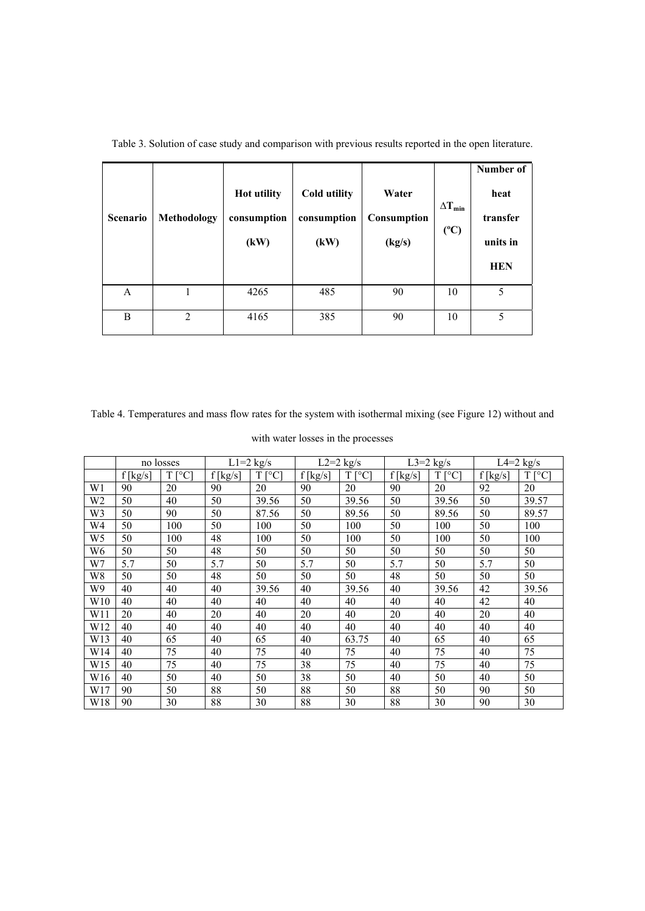| <b>Scenario</b> | Methodology | <b>Hot utility</b><br>consumption<br>(kW) | Cold utility<br>consumption<br>(kW) | Water<br>Consumption<br>(kg/s) | $\Delta T_{min}$<br>(C) | Number of<br>heat<br>transfer<br>units in<br><b>HEN</b> |
|-----------------|-------------|-------------------------------------------|-------------------------------------|--------------------------------|-------------------------|---------------------------------------------------------|
| A               |             | 4265                                      | 485                                 | 90                             | 10                      | 5                                                       |
| B               | 2           | 4165                                      | 385                                 | 90                             | 10                      | 5                                                       |

Table 3. Solution of case study and comparison with previous results reported in the open literature.

Table 4. Temperatures and mass flow rates for the system with isothermal mixing (see Figure 12) without and

|  |  | with water losses in the processes |
|--|--|------------------------------------|
|  |  |                                    |

|                | no losses  |          | $\overline{L}$ 1=2 kg/s |                  |            | $L2=2$ kg/s      | L3=2 $kg/s$ |                   | $L4=2$ kg/s |                   |
|----------------|------------|----------|-------------------------|------------------|------------|------------------|-------------|-------------------|-------------|-------------------|
|                | $f$ [kg/s] | $T$ [°C] | $f$ [kg/s]              | T<br>$\lceil$ °C | $f$ [kg/s] | T<br>$\lceil$ °C | $f$ [kg/s]  | T<br>$\lceil$ °C1 | $f$ [kg/s]  | T<br>$\lceil$ °C] |
| W1             | 90         | 20       | 90                      | 20               | 90         | 20               | 90          | 20                | 92          | 20                |
| W2             | 50         | 40       | 50                      | 39.56            | 50         | 39.56            | 50          | 39.56             | 50          | 39.57             |
| W3             | 50         | 90       | 50                      | 87.56            | 50         | 89.56            | 50          | 89.56             | 50          | 89.57             |
| W4             | 50         | 100      | 50                      | 100              | 50         | 100              | 50          | 100               | 50          | 100               |
| W <sub>5</sub> | 50         | 100      | 48                      | 100              | 50         | 100              | 50          | 100               | 50          | 100               |
| W6             | 50         | 50       | 48                      | 50               | 50         | 50               | 50          | 50                | 50          | 50                |
| W7             | 5.7        | 50       | 5.7                     | 50               | 5.7        | 50               | 5.7         | 50                | 5.7         | 50                |
| W8             | 50         | 50       | 48                      | 50               | 50         | 50               | 48          | 50                | 50          | 50                |
| W9             | 40         | 40       | 40                      | 39.56            | 40         | 39.56            | 40          | 39.56             | 42          | 39.56             |
| W10            | 40         | 40       | 40                      | 40               | 40         | 40               | 40          | 40                | 42          | 40                |
| W11            | 20         | 40       | 20                      | 40               | 20         | 40               | 20          | 40                | 20          | 40                |
| W12            | 40         | 40       | 40                      | 40               | 40         | 40               | 40          | 40                | 40          | 40                |
| W13            | 40         | 65       | 40                      | 65               | 40         | 63.75            | 40          | 65                | 40          | 65                |
| W14            | 40         | 75       | 40                      | 75               | 40         | 75               | 40          | 75                | 40          | 75                |
| W15            | 40         | 75       | 40                      | 75               | 38         | 75               | 40          | 75                | 40          | 75                |
| W16            | 40         | 50       | 40                      | 50               | 38         | 50               | 40          | 50                | 40          | 50                |
| W17            | 90         | 50       | 88                      | 50               | 88         | 50               | 88          | 50                | 90          | 50                |
| W18            | 90         | 30       | 88                      | 30               | 88         | 30               | 88          | 30                | 90          | 30                |